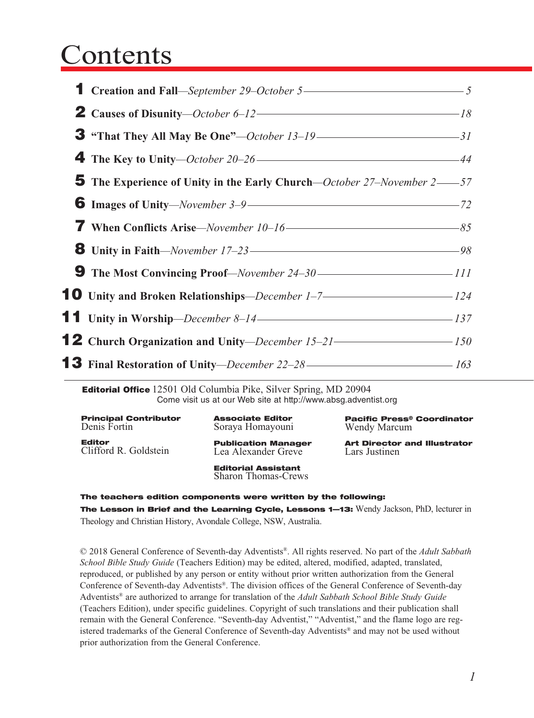## Contents

| <b>1</b> Creation and Fall—September 29-October 5— $\frac{1}{5}$              |  |
|-------------------------------------------------------------------------------|--|
| <b>2</b> Causes of Disunity-October 6-12 $\rightarrow$ 18                     |  |
|                                                                               |  |
| <b>4</b> The Key to Unity-October 20-26                                       |  |
| <b>5</b> The Experience of Unity in the Early Church—October 27–November 2—57 |  |
| <b>6</b> Images of Unity—November 3–9— $\rightarrow$ 72                       |  |
|                                                                               |  |
|                                                                               |  |
|                                                                               |  |
| 10 Unity and Broken Relationships-December 1-7- <b>124</b>                    |  |
| <b>11</b> Unity in Worship—December 8-14———————————————137                    |  |
| <b>12</b> Church Organization and Unity-December $15-21$ -21                  |  |
| <b>13</b> Final Restoration of Unity-December 22-28 ————————————————163       |  |

Editorial Office 12501 Old Columbia Pike, Silver Spring, MD 20904 Come visit us at our Web site at http://www.absg.adventist.org

| <b>Principal Contributor</b><br>Denis Fortin |
|----------------------------------------------|
| <b>Editor</b><br>Clifford R. Goldstein       |

Associate Editor Soraya Homayouni

Publication Manager Lea Alexander Greve

Pacific Press® Coordinator Wendy Marcum

Art Director and Illustrator Lars Justinen

Editorial Assistant Sharon Thomas-Crews

The teachers edition components were written by the following:

The Lesson in Brief and the Learning Cycle, Lessons 1-13: Wendy Jackson, PhD, lecturer in Theology and Christian History, Avondale College, NSW, Australia.

© 2018 General Conference of Seventh-day Adventists®. All rights reserved. No part of the *Adult Sabbath School Bible Study Guide* (Teachers Edition) may be edited, altered, modified, adapted, translated, reproduced, or published by any person or entity without prior written authorization from the General Conference of Seventh-day Adventists®. The division offices of the General Conference of Seventh-day Adventists® are authorized to arrange for translation of the *Adult Sabbath School Bible Study Guide* (Teachers Edition), under specific guidelines. Copyright of such translations and their publication shall remain with the General Conference. "Seventh-day Adventist," "Adventist," and the flame logo are registered trademarks of the General Conference of Seventh-day Adventists® and may not be used without prior authorization from the General Conference.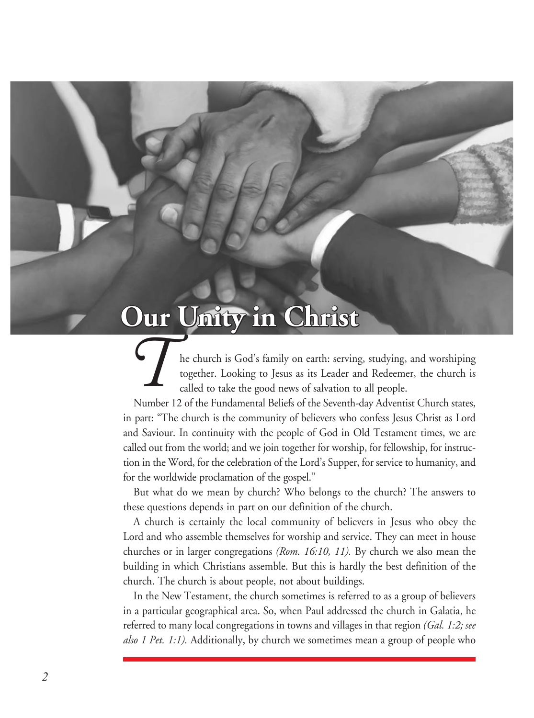## **Our Unity in Christ**

*T*he church is God's family on earth: serving, studying, and worshiping together. Looking to Jesus as its Leader and Redeemer, the church is called to take the good news of salvation to all people.

Number 12 of the Fundamental Beliefs of the Seventh-day Adventist Church states, in part: "The church is the community of believers who confess Jesus Christ as Lord and Saviour. In continuity with the people of God in Old Testament times, we are called out from the world; and we join together for worship, for fellowship, for instruction in the Word, for the celebration of the Lord's Supper, for service to humanity, and for the worldwide proclamation of the gospel."

But what do we mean by church? Who belongs to the church? The answers to these questions depends in part on our definition of the church.

A church is certainly the local community of believers in Jesus who obey the Lord and who assemble themselves for worship and service. They can meet in house churches or in larger congregations *(Rom. 16:10, 11).* By church we also mean the building in which Christians assemble. But this is hardly the best definition of the church. The church is about people, not about buildings.

In the New Testament, the church sometimes is referred to as a group of believers in a particular geographical area. So, when Paul addressed the church in Galatia, he referred to many local congregations in towns and villages in that region *(Gal. 1:2; see also 1 Pet. 1:1).* Additionally, by church we sometimes mean a group of people who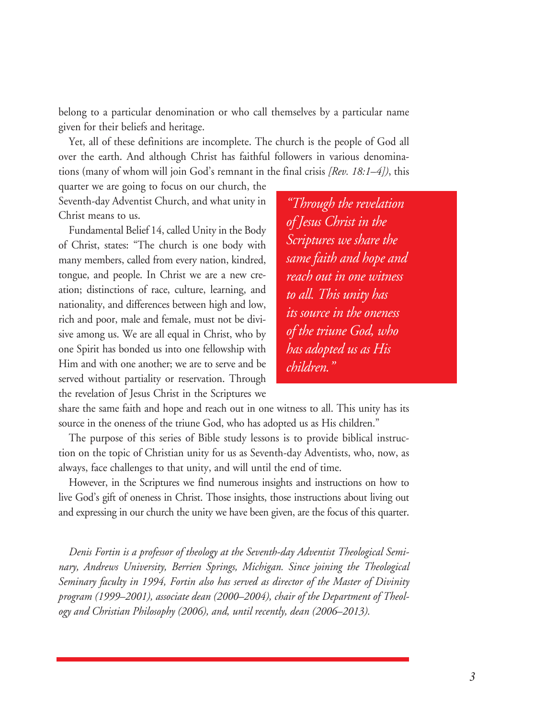belong to a particular denomination or who call themselves by a particular name given for their beliefs and heritage.

Yet, all of these definitions are incomplete. The church is the people of God all over the earth. And although Christ has faithful followers in various denominations (many of whom will join God's remnant in the final crisis *[Rev. 18:1–4])*, this

quarter we are going to focus on our church, the Seventh-day Adventist Church, and what unity in Christ means to us.

Fundamental Belief 14, called Unity in the Body of Christ, states: "The church is one body with many members, called from every nation, kindred, tongue, and people. In Christ we are a new creation; distinctions of race, culture, learning, and nationality, and differences between high and low, rich and poor, male and female, must not be divisive among us. We are all equal in Christ, who by one Spirit has bonded us into one fellowship with Him and with one another; we are to serve and be served without partiality or reservation. Through the revelation of Jesus Christ in the Scriptures we

*"Through the revelation of Jesus Christ in the Scriptures we share the same faith and hope and reach out in one witness to all. This unity has its source in the oneness of the triune God, who has adopted us as His children."*

share the same faith and hope and reach out in one witness to all. This unity has its source in the oneness of the triune God, who has adopted us as His children."

The purpose of this series of Bible study lessons is to provide biblical instruction on the topic of Christian unity for us as Seventh-day Adventists, who, now, as always, face challenges to that unity, and will until the end of time.

However, in the Scriptures we find numerous insights and instructions on how to live God's gift of oneness in Christ. Those insights, those instructions about living out and expressing in our church the unity we have been given, are the focus of this quarter.

*Denis Fortin is a professor of theology at the Seventh-day Adventist Theological Seminary, Andrews University, Berrien Springs, Michigan. Since joining the Theological Seminary faculty in 1994, Fortin also has served as director of the Master of Divinity program (1999–2001), associate dean (2000–2004), chair of the Department of Theology and Christian Philosophy (2006), and, until recently, dean (2006–2013).*